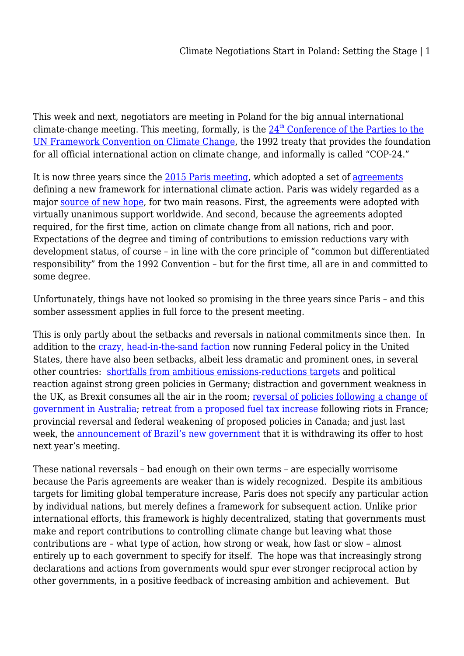This week and next, negotiators are meeting in Poland for the big annual international climate-change meeting. This meeting, formally, is [th](https://unfccc.int/event/cop-24)e  $24<sup>th</sup>$  [Conference of the Parties to the](https://unfccc.int/event/cop-24) [UN Framework Convention on Climate Change,](https://unfccc.int/event/cop-24) the 1992 treaty that provides the foundation for all official international action on climate change, and informally is called "COP-24."

It is now three years since the [2015 Paris meeting,](https://unfccc.int/process-and-meetings/conferences/past-conferences/paris-climate-change-conference-november-2015/cop-21) which adopted a set of [agreements](https://unfccc.int/process-and-meetings/conferences/past-conferences/paris-climate-change-conference-november-2015/cop-21/cop-21-decisions) defining a new framework for international climate action. Paris was widely regarded as a major [source of new hope](http://legal-planet.org/2015/12/12/thoughts-on-the-accomplishments-of-the-paris-cop/), for two main reasons. First, the agreements were adopted with virtually unanimous support worldwide. And second, because the agreements adopted required, for the first time, action on climate change from all nations, rich and poor. Expectations of the degree and timing of contributions to emission reductions vary with development status, of course – in line with the core principle of "common but differentiated responsibility" from the 1992 Convention – but for the first time, all are in and committed to some degree.

Unfortunately, things have not looked so promising in the three years since Paris – and this somber assessment applies in full force to the present meeting.

This is only partly about the setbacks and reversals in national commitments since then. In addition to the [crazy, head-in-the-sand faction](https://grist.org/article/in-2017-climate-change-vanished-from-a-ridiculous-number-of-government-websites/) now running Federal policy in the United States, there have also been setbacks, albeit less dramatic and prominent ones, in several other countries: [shortfalls from ambitious emissions-reductions targets](https://www.handelsblatt.com/today/politics/climate-emergency-germanys-great-environmental-failure/23583678.html?ticket=ST-3642726-UgMIOylwPmVycxrfTQl7-ap2) and political reaction against strong green policies in Germany; distraction and government weakness in the UK, as Brexit consumes all the air in the room; [reversal of policies following a change of](https://www.voanews.com/a/australia-to-ditch-climate-targets-bill-after-pm-ousting/4563650.html) [government in Australia](https://www.voanews.com/a/australia-to-ditch-climate-targets-bill-after-pm-ousting/4563650.html); [retreat from a proposed fuel tax increase](https://www.nytimes.com/2018/12/04/world/europe/france-fuel-tax-yellow-vests.html) following riots in France; provincial reversal and federal weakening of proposed policies in Canada; and just last week, the [announcement of Brazil's new government](https://grist.org/article/bad-news-for-the-amazon-as-brazil-backs-out-of-hosting-un-climate-talks/) that it is withdrawing its offer to host next year's meeting.

These national reversals – bad enough on their own terms – are especially worrisome because the Paris agreements are weaker than is widely recognized. Despite its ambitious targets for limiting global temperature increase, Paris does not specify any particular action by individual nations, but merely defines a framework for subsequent action. Unlike prior international efforts, this framework is highly decentralized, stating that governments must make and report contributions to controlling climate change but leaving what those contributions are – what type of action, how strong or weak, how fast or slow – almost entirely up to each government to specify for itself. The hope was that increasingly strong declarations and actions from governments would spur ever stronger reciprocal action by other governments, in a positive feedback of increasing ambition and achievement. But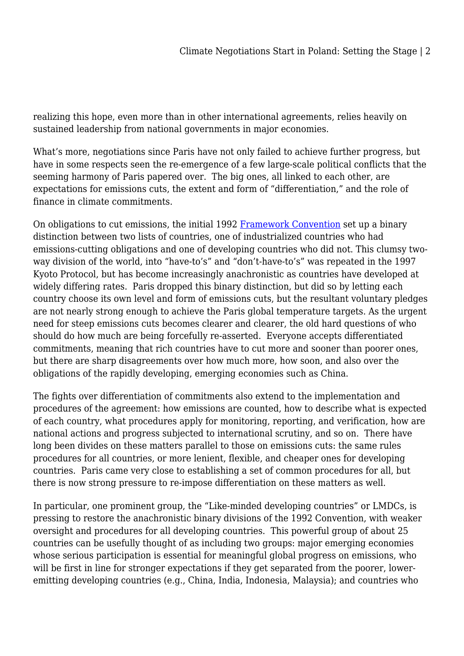realizing this hope, even more than in other international agreements, relies heavily on sustained leadership from national governments in major economies.

What's more, negotiations since Paris have not only failed to achieve further progress, but have in some respects seen the re-emergence of a few large-scale political conflicts that the seeming harmony of Paris papered over. The big ones, all linked to each other, are expectations for emissions cuts, the extent and form of "differentiation," and the role of finance in climate commitments.

On obligations to cut emissions, the initial 1992 [Framework Convention](https://unfccc.int/process#:d8f74df9-0dbd-4932-bf3c-d8a37f8de70e) set up a binary distinction between two lists of countries, one of industrialized countries who had emissions-cutting obligations and one of developing countries who did not. This clumsy twoway division of the world, into "have-to's" and "don't-have-to's" was repeated in the 1997 Kyoto Protocol, but has become increasingly anachronistic as countries have developed at widely differing rates. Paris dropped this binary distinction, but did so by letting each country choose its own level and form of emissions cuts, but the resultant voluntary pledges are not nearly strong enough to achieve the Paris global temperature targets. As the urgent need for steep emissions cuts becomes clearer and clearer, the old hard questions of who should do how much are being forcefully re-asserted. Everyone accepts differentiated commitments, meaning that rich countries have to cut more and sooner than poorer ones, but there are sharp disagreements over how much more, how soon, and also over the obligations of the rapidly developing, emerging economies such as China.

The fights over differentiation of commitments also extend to the implementation and procedures of the agreement: how emissions are counted, how to describe what is expected of each country, what procedures apply for monitoring, reporting, and verification, how are national actions and progress subjected to international scrutiny, and so on. There have long been divides on these matters parallel to those on emissions cuts: the same rules procedures for all countries, or more lenient, flexible, and cheaper ones for developing countries. Paris came very close to establishing a set of common procedures for all, but there is now strong pressure to re-impose differentiation on these matters as well.

In particular, one prominent group, the "Like-minded developing countries" or LMDCs, is pressing to restore the anachronistic binary divisions of the 1992 Convention, with weaker oversight and procedures for all developing countries. This powerful group of about 25 countries can be usefully thought of as including two groups: major emerging economies whose serious participation is essential for meaningful global progress on emissions, who will be first in line for stronger expectations if they get separated from the poorer, loweremitting developing countries (e.g., China, India, Indonesia, Malaysia); and countries who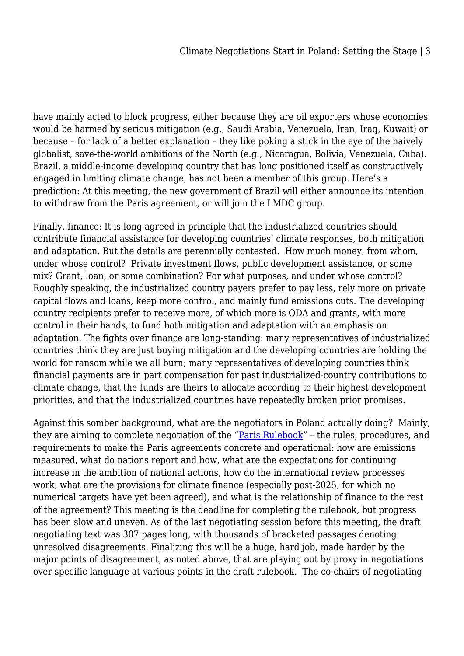have mainly acted to block progress, either because they are oil exporters whose economies would be harmed by serious mitigation (e.g., Saudi Arabia, Venezuela, Iran, Iraq, Kuwait) or because – for lack of a better explanation – they like poking a stick in the eye of the naively globalist, save-the-world ambitions of the North (e.g., Nicaragua, Bolivia, Venezuela, Cuba). Brazil, a middle-income developing country that has long positioned itself as constructively engaged in limiting climate change, has not been a member of this group. Here's a prediction: At this meeting, the new government of Brazil will either announce its intention to withdraw from the Paris agreement, or will join the LMDC group.

Finally, finance: It is long agreed in principle that the industrialized countries should contribute financial assistance for developing countries' climate responses, both mitigation and adaptation. But the details are perennially contested. How much money, from whom, under whose control? Private investment flows, public development assistance, or some mix? Grant, loan, or some combination? For what purposes, and under whose control? Roughly speaking, the industrialized country payers prefer to pay less, rely more on private capital flows and loans, keep more control, and mainly fund emissions cuts. The developing country recipients prefer to receive more, of which more is ODA and grants, with more control in their hands, to fund both mitigation and adaptation with an emphasis on adaptation. The fights over finance are long-standing: many representatives of industrialized countries think they are just buying mitigation and the developing countries are holding the world for ransom while we all burn; many representatives of developing countries think financial payments are in part compensation for past industrialized-country contributions to climate change, that the funds are theirs to allocate according to their highest development priorities, and that the industrialized countries have repeatedly broken prior promises.

Against this somber background, what are the negotiators in Poland actually doing? Mainly, they are aiming to complete negotiation of the ["Paris Rulebook"](https://www.wri.org/blog/2018/11/cop24-poland-negotiators-must-lay-down-ground-rules-paris-agreement) - the rules, procedures, and requirements to make the Paris agreements concrete and operational: how are emissions measured, what do nations report and how, what are the expectations for continuing increase in the ambition of national actions, how do the international review processes work, what are the provisions for climate finance (especially post-2025, for which no numerical targets have yet been agreed), and what is the relationship of finance to the rest of the agreement? This meeting is the deadline for completing the rulebook, but progress has been slow and uneven. As of the last negotiating session before this meeting, the draft negotiating text was 307 pages long, with thousands of bracketed passages denoting unresolved disagreements. Finalizing this will be a huge, hard job, made harder by the major points of disagreement, as noted above, that are playing out by proxy in negotiations over specific language at various points in the draft rulebook. The co-chairs of negotiating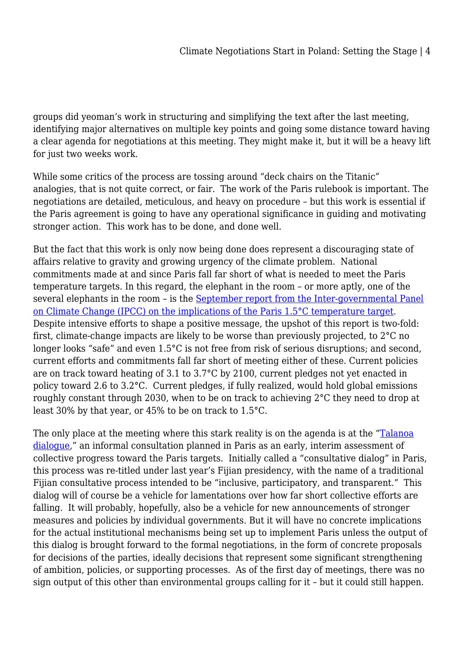groups did yeoman's work in structuring and simplifying the text after the last meeting, identifying major alternatives on multiple key points and going some distance toward having a clear agenda for negotiations at this meeting. They might make it, but it will be a heavy lift for just two weeks work.

While some critics of the process are tossing around "deck chairs on the Titanic" analogies, that is not quite correct, or fair. The work of the Paris rulebook is important. The negotiations are detailed, meticulous, and heavy on procedure – but this work is essential if the Paris agreement is going to have any operational significance in guiding and motivating stronger action. This work has to be done, and done well.

But the fact that this work is only now being done does represent a discouraging state of affairs relative to gravity and growing urgency of the climate problem. National commitments made at and since Paris fall far short of what is needed to meet the Paris temperature targets. In this regard, the elephant in the room – or more aptly, one of the several elephants in the room – is the [September report from the Inter-governmental Panel](https://www.ipcc.ch/sr15/) [on Climate Change \(IPCC\) on the implications of the Paris 1.5°C temperature target](https://www.ipcc.ch/sr15/). Despite intensive efforts to shape a positive message, the upshot of this report is two-fold: first, climate-change impacts are likely to be worse than previously projected, to 2°C no longer looks "safe" and even 1.5°C is not free from risk of serious disruptions; and second, current efforts and commitments fall far short of meeting either of these. Current policies are on track toward heating of 3.1 to 3.7°C by 2100, current pledges not yet enacted in policy toward 2.6 to 3.2°C. Current pledges, if fully realized, would hold global emissions roughly constant through 2030, when to be on track to achieving 2°C they need to drop at least 30% by that year, or 45% to be on track to 1.5°C.

The only place at the meeting where this stark reality is on the agenda is at the "[Talanoa](https://unfccc.int/news/un-opens-talanoa-dialogue-portal-aiming-for-higher-climate-ambition) [dialogue,](https://unfccc.int/news/un-opens-talanoa-dialogue-portal-aiming-for-higher-climate-ambition)" an informal consultation planned in Paris as an early, interim assessment of collective progress toward the Paris targets. Initially called a "consultative dialog" in Paris, this process was re-titled under last year's Fijian presidency, with the name of a traditional Fijian consultative process intended to be "inclusive, participatory, and transparent." This dialog will of course be a vehicle for lamentations over how far short collective efforts are falling. It will probably, hopefully, also be a vehicle for new announcements of stronger measures and policies by individual governments. But it will have no concrete implications for the actual institutional mechanisms being set up to implement Paris unless the output of this dialog is brought forward to the formal negotiations, in the form of concrete proposals for decisions of the parties, ideally decisions that represent some significant strengthening of ambition, policies, or supporting processes. As of the first day of meetings, there was no sign output of this other than environmental groups calling for it – but it could still happen.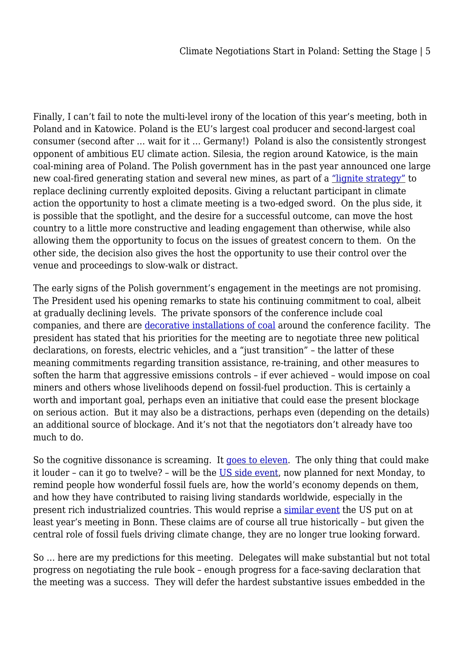Finally, I can't fail to note the multi-level irony of the location of this year's meeting, both in Poland and in Katowice. Poland is the EU's largest coal producer and second-largest coal consumer (second after … wait for it … Germany!) Poland is also the consistently strongest opponent of ambitious EU climate action. Silesia, the region around Katowice, is the main coal-mining area of Poland. The Polish government has in the past year announced one large new coal-fired generating station and several new mines, as part of a ["lignite strategy"](https://www.spglobal.com/platts/en/market-insights/latest-news/coal/060518-poland-approves-lignite-strategy) to replace declining currently exploited deposits. Giving a reluctant participant in climate action the opportunity to host a climate meeting is a two-edged sword. On the plus side, it is possible that the spotlight, and the desire for a successful outcome, can move the host country to a little more constructive and leading engagement than otherwise, while also allowing them the opportunity to focus on the issues of greatest concern to them. On the other side, the decision also gives the host the opportunity to use their control over the venue and proceedings to slow-walk or distract.

The early signs of the Polish government's engagement in the meetings are not promising. The President used his opening remarks to state his continuing commitment to coal, albeit at gradually declining levels. The private sponsors of the conference include coal companies, and there are [decorative installations of coal](https://twitter.com/jellsmoor/status/1069486894923304960/photo/1?ref_src=twsrc%5Etfw%7Ctwcamp%5Etweetembed%7Ctwterm%5E1069486894923304960&ref_url=http%3A%2F%2Ffortune.com%2F2018%2F12%2F03%2Fclimate-change-conference-poland-coal%2F) around the conference facility. The president has stated that his priorities for the meeting are to negotiate three new political declarations, on forests, electric vehicles, and a "just transition" – the latter of these meaning commitments regarding transition assistance, re-training, and other measures to soften the harm that aggressive emissions controls – if ever achieved – would impose on coal miners and others whose livelihoods depend on fossil-fuel production. This is certainly a worth and important goal, perhaps even an initiative that could ease the present blockage on serious action. But it may also be a distractions, perhaps even (depending on the details) an additional source of blockage. And it's not that the negotiators don't already have too much to do.

So the cognitive dissonance is screaming. It [goes to eleven](https://www.youtube.com/watch?v=hW008FcKr3Q). The only thing that could make it louder – can it go to twelve? – will be the [US side event](https://www.forbes.com/sites/dipkabhambhani/2018/12/03/trump-administration-to-double-down-on-coal-in-katowice-says-energy-access-requires-fossil-fuels/#2f53d61e5542), now planned for next Monday, to remind people how wonderful fossil fuels are, how the world's economy depends on them, and how they have contributed to raising living standards worldwide, especially in the present rich industrialized countries. This would reprise a [similar event](https://www.nytimes.com/2017/11/13/climate/climate-coal-united-nations-bonn.html) the US put on at least year's meeting in Bonn. These claims are of course all true historically – but given the central role of fossil fuels driving climate change, they are no longer true looking forward.

So … here are my predictions for this meeting. Delegates will make substantial but not total progress on negotiating the rule book – enough progress for a face-saving declaration that the meeting was a success. They will defer the hardest substantive issues embedded in the